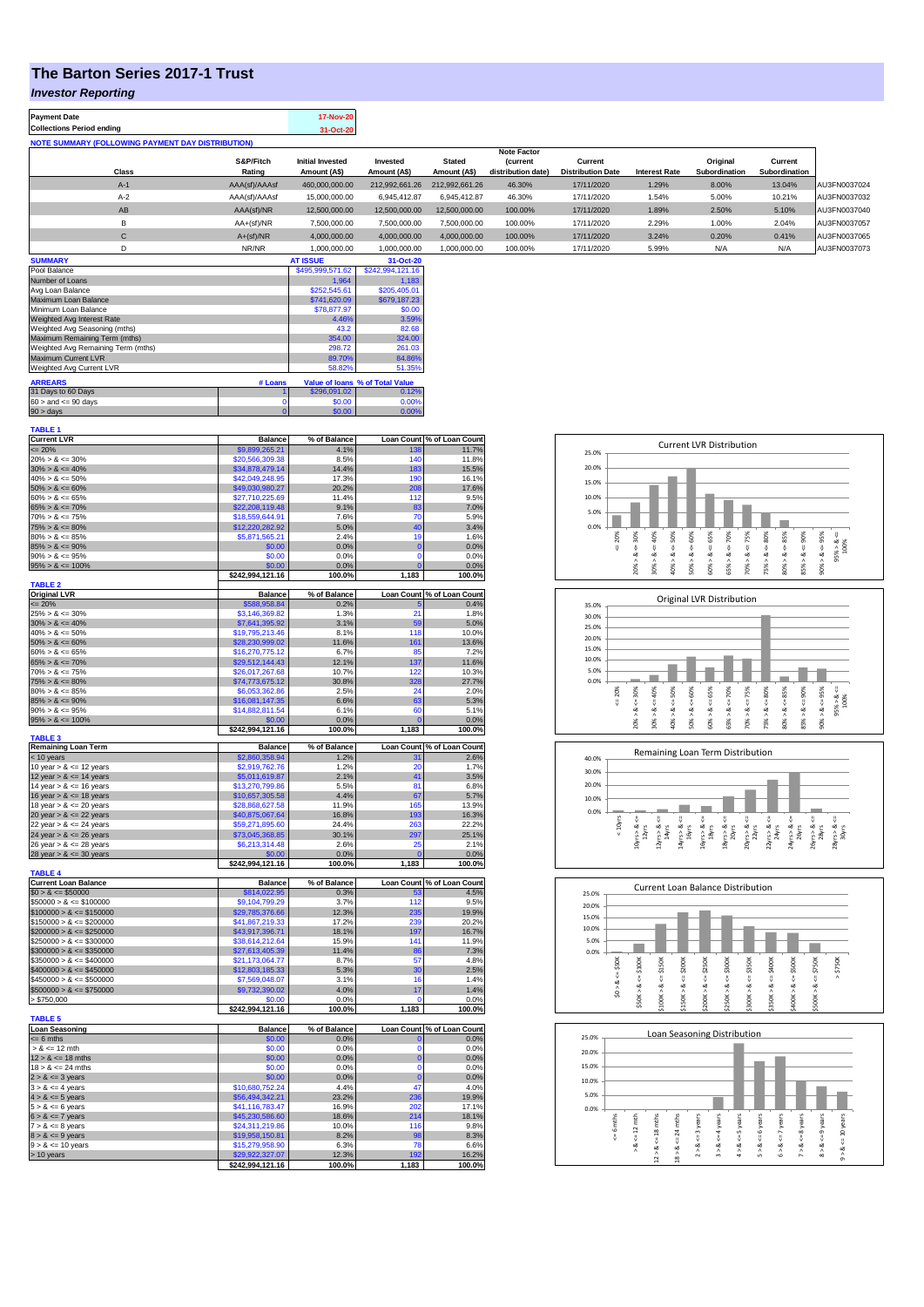## **The Barton Series 2017-1 Trust**

**Payment Date 17-Nov-20** 

#### *Investor Reporting*

| <b>Collections Period ending</b>                         |               | 31-Oct-20                               |                          |                               |                                       |                                     |                      |                           |                          |              |
|----------------------------------------------------------|---------------|-----------------------------------------|--------------------------|-------------------------------|---------------------------------------|-------------------------------------|----------------------|---------------------------|--------------------------|--------------|
| <b>NOTE SUMMARY (FOLLOWING PAYMENT DAY DISTRIBUTION)</b> |               |                                         |                          |                               |                                       |                                     |                      |                           |                          |              |
|                                                          | S&P/Fitch     |                                         |                          |                               | <b>Note Factor</b>                    |                                     |                      |                           |                          |              |
| Class                                                    | Rating        | <b>Initial Invested</b><br>Amount (A\$) | Invested<br>Amount (A\$) | <b>Stated</b><br>Amount (A\$) | <i>(current</i><br>distribution date) | Current<br><b>Distribution Date</b> | <b>Interest Rate</b> | Original<br>Subordination | Current<br>Subordination |              |
| $A-1$                                                    | AAA(sf)/AAAsf | 460.000.000.00                          | 212.992.661.26           | 212.992.661.26                | 46.30%                                | 17/11/2020                          | 1.29%                | 8.00%                     | 13.04%                   | AU3FN0037024 |
| $A-2$                                                    | AAA(sf)/AAAsf | 15,000,000.00                           | 6.945.412.87             | 6.945.412.87                  | 46.30%                                | 17/11/2020                          | 1.54%                | 5.00%                     | 10.21%                   | AU3FN0037032 |
| AB                                                       | AAA(sf)/NR    | 12,500,000.00                           | 12,500,000.00            | 12,500,000.00                 | 100.00%                               | 17/11/2020                          | 1.89%                | 2.50%                     | 5.10%                    | AU3FN0037040 |
| B                                                        | $AA+(sf)/NR$  | 7,500,000.00                            | 7.500.000.00             | 7,500,000.00                  | 100.00%                               | 17/11/2020                          | 2.29%                | 1.00%                     | 2.04%                    | AU3FN0037057 |
| С                                                        | $A+(sf)/NR$   | 4,000,000.00                            | 4,000,000.00             | 4,000,000.00                  | 100.00%                               | 17/11/2020                          | 3.24%                | 0.20%                     | 0.41%                    | AU3FN0037065 |
| D                                                        | NR/NR         | 1.000.000.00                            | 1.000.000.00             | 1.000.000.00                  | 100.00%                               | 17/11/2020                          | 5.99%                | N/A                       | N/A                      | AU3FN0037073 |
| <b>SUMMARY</b>                                           |               | <b>AT ISSUE</b>                         | 31-Oct-20                |                               |                                       |                                     |                      |                           |                          |              |

| Pool Balance                       |         | \$495,999,571.62 | \$242,994,121.16                |
|------------------------------------|---------|------------------|---------------------------------|
| Number of Loans                    |         | 1.964            | 1.183                           |
| Avg Loan Balance                   |         | \$252,545.61     | \$205,405.01                    |
| Maximum Loan Balance               |         | \$741,620.09     | \$679,187,23                    |
| Minimum Loan Balance               |         | \$78,877.97      | \$0.00                          |
| Weighted Avg Interest Rate         |         | 4.46%            | 3.59%                           |
| Weighted Avg Seasoning (mths)      |         | 43.2             | 82.68                           |
| Maximum Remaining Term (mths)      |         | 354.00           | 324.00                          |
| Weighted Avg Remaining Term (mths) |         | 298.72           | 261.03                          |
| Maximum Current LVR                |         | 89.70%           | 84.86%                          |
| Weighted Avg Current LVR           |         | 58.82%           | 51.35%                          |
| <b>ARREARS</b>                     | # Loans |                  | Value of Ioans % of Total Value |
|                                    |         |                  |                                 |
| 31 Days to 60 Days                 |         | \$296.091.02     | 0.12%                           |
| $60 >$ and $\leq 90$ days          |         | \$0.00           | 0.00%                           |
| $90 >$ days                        | 0       | \$0.00           | 0.00%                           |

| TABLE 1                                      |                          |              |                   |                            |
|----------------------------------------------|--------------------------|--------------|-------------------|----------------------------|
| <b>Current LVR</b>                           | <b>Balance</b>           | % of Balance |                   | Loan Count % of Loan Count |
| $= 20%$                                      | \$9,899,265.21           | 4.1%         | 138               | 11.7%                      |
| $20\% > 8 \le 30\%$                          | \$20,566,309.38          | 8.5%         | 140               | 11.8%                      |
| $30\% > 8 \le 40\%$                          | \$34,878,479.14          | 14.4%        | 183               | 15.5%                      |
|                                              | \$42,049,248.95          | 17.3%        |                   | 16.1%                      |
| $40\% > 8 \le 50\%$                          |                          |              | 190               |                            |
| $50\% > 8 \le 60\%$                          | \$49,030,980.27          | 20.2%        | 208               | 17.6%                      |
| $60\% > 8 \le 65\%$                          | \$27,710,225.69          | 11.4%        | 112               | 9.5%                       |
| $65\% > 8 \le 70\%$                          | \$22,208,119.48          | 9.1%         | 83                | 7.0%                       |
| $70\% > 8 \le 75\%$                          | \$18,559,644.91          | 7.6%         | 70                | 5.9%                       |
| $75\% > 8 \le 80\%$                          | \$12,220,282.92          | 5.0%         | 40                | 3.4%                       |
| $80\% > 8 \le 85\%$                          | \$5,871,565.21           | 2.4%         | 19                | 1.6%                       |
| $85\% > 8 \le 90\%$                          | \$0.00                   | 0.0%         | $\overline{0}$    | 0.0%                       |
| $90\% > 8 \le 95\%$                          | \$0.00                   | 0.0%         | $\mathbf 0$       | 0.0%                       |
| $95\% > 8 \le 100\%$                         | \$0.00                   | 0.0%         | $\overline{0}$    | 0.0%                       |
|                                              |                          |              |                   |                            |
|                                              | \$242,994,121.16         | 100.0%       | 1,183             | 100.0%                     |
| <b>TABLE 2</b>                               |                          |              |                   |                            |
| <b>Original LVR</b>                          | <b>Balance</b>           | % of Balance | <b>Loan Count</b> | % of Loan Count            |
| $\leq$ 20%                                   | \$588,958.84             | 0.2%         | Б                 | 0.4%                       |
| $25\% > 8 \le 30\%$                          | \$3,146,369.82           | 1.3%         | 21                | 1.8%                       |
| $30\% > 8 \le 40\%$                          | \$7,641,395.92           | 3.1%         | 59                | 5.0%                       |
| $40\% > 8 \le 50\%$                          | \$19,795,213.46          | 8.1%         | 118               | 10.0%                      |
| $50\% > 8 \le 60\%$                          | \$28,230,999.02          | 11.6%        | 161               | 13.6%                      |
| $60\% > 8 \le 65\%$                          | \$16,270,775.12          | 6.7%         | 85                | 7.2%                       |
|                                              |                          | 12.1%        |                   |                            |
| $65\% > 8 \le 70\%$                          | \$29,512,144.43          |              | 137               | 11.6%                      |
| $70\% > 8 \le 75\%$                          | \$26,017,267.68          | 10.7%        | 122               | 10.3%                      |
| $75\% > 8 \le 80\%$                          | \$74,773,675.12          | 30.8%        | 328               | 27.7%                      |
| $80\% > 8 \le 85\%$                          | \$6,053,362.86           | 2.5%         | 24                | 2.0%                       |
| $85\% > 8 \le 90\%$                          | \$16,081,147.35          | 6.6%         | 63                | 5.3%                       |
| $90\% > 8 \le 95\%$                          | \$14,882,811.54          | 6.1%         | 60                | 5.1%                       |
| $95\% > 8 \le 100\%$                         | \$0.00                   | 0.0%         | $\mathbf{C}$      | 0.0%                       |
|                                              | \$242,994,121.16         | 100.0%       | 1,183             | 100.0%                     |
| <b>TABLE 3</b>                               |                          |              |                   |                            |
| <b>Remaining Loan Term</b>                   | <b>Balance</b>           | % of Balance |                   | Loan Count % of Loan Count |
| < 10 years                                   | \$2,860,358.94           | 1.2%         |                   | 2.6%                       |
| 10 year $> 8 \le 12$ years                   | \$2,919,762.76           | 1.2%         | 20                | 1.7%                       |
|                                              |                          |              |                   |                            |
| 12 year $> 8 \le 14$ years                   | \$5,011,619.87           | 2.1%         | 41                | 3.5%                       |
| 14 year $> 8 \le 16$ years                   | \$13,270,799.86          | 5.5%         | 81                | 6.8%                       |
| 16 year $> 8 \le 18$ years                   | \$10,657,305.58          | 4.4%         | 67                | 5.7%                       |
| 18 year $> 8 \le 20$ years                   | \$28,868,627.58          | 11.9%        | 165               | 13.9%                      |
| 20 year $> 8 < 22$ years                     | \$40,875,067.64          | 16.8%        | 193               | 16.3%                      |
| 22 year $> 8 \le 24$ years                   | \$59,271,895.60          | 24.4%        | 263               | 22.2%                      |
| 24 year $> 8 \le 26$ years                   | \$73,045,368.85          | 30.1%        | 297               | 25.1%                      |
|                                              |                          | 2.6%         | 25                | 2.1%                       |
|                                              |                          |              |                   |                            |
| 26 year $> 8 \le 28$ years                   | \$6,213,314.48           |              |                   |                            |
|                                              | \$0.00                   | 0.0%         | $\mathbf{C}$      | 0.0%                       |
|                                              | \$242,994,121.16         | 100.0%       | 1,183             | 100.0%                     |
| 28 year $> 8 \le 30$ years<br><b>TABLE 4</b> |                          |              |                   |                            |
| <b>Current Loan Balance</b>                  | <b>Balance</b>           | % of Balance | <b>Loan Count</b> | % of Loan Count            |
| $$0 > 8 \le $50000$                          | \$814,022.95             | 0.3%         | 53                | 4.5%                       |
|                                              |                          |              | 112               | 9.5%                       |
| $$50000 > 8 \le $100000$                     | \$9,104,799.29           | 3.7%         |                   |                            |
| $$100000 > 8 \le $150000$                    | \$29,785,376.66          | 12.3%        | 235               | 19.9%                      |
| $$150000 > 8 \le $200000$                    | \$41,867,219.33          | 17.2%        | 239               | 20.2%                      |
| $$200000 > 8 \leq $250000$                   | \$43,917,396.71          | 18.1%        | 197               | 16.7%                      |
| $$250000 > 8 \le $300000$                    | \$38,614,212.64          | 15.9%        | 141               | 11.9%                      |
| $$300000 > 8 \leq $350000$                   | \$27,613,405.39          | 11.4%        | 86                | 7.3%                       |
| $$350000 > 8 \le $400000$                    | \$21,173,064.77          | 8.7%         | 57                | 4.8%                       |
| $$400000 > 8 \le $450000$                    | \$12,803,185.33          | 5.3%         | 30                | 2.5%                       |
| $$450000 > 8 \le $500000$                    | \$7,569,048.07           | 3.1%         | 16                | 1.4%                       |
| $$500000 > 8 \le $750000$                    |                          | 4.0%         | 17                | 1.4%                       |
|                                              | \$9,732,390.02<br>\$0.00 | 0.0%         | 0                 |                            |
| > \$750,000                                  |                          |              |                   | 0.0%                       |
|                                              | \$242,994,121.16         | 100.0%       | 1,183             | 100.0%                     |
|                                              |                          |              |                   |                            |
| Loan Seasoning                               | <b>Balance</b>           | % of Balance |                   | Loan Count % of Loan Count |
| $= 6$ mths                                   | \$0.00                   | 0.0%         | $\overline{0}$    | 0.0%                       |
| $> 8 \le 12$ mth                             | \$0.00                   | 0.0%         | O                 | 0.0%                       |
| $12 > 8 \le 18$ mths                         | \$0.00                   | 0.0%         | $\mathbf{0}$      | 0.0%                       |
| <b>TABLE 5</b><br>$18 > 8 \le 24$ mths       | \$0.00                   | 0.0%         | $\Omega$          | 0.0%                       |
| $2 > 8 \le 3$ years                          | \$0.00                   | 0.0%         | $\mathbf{0}$      | 0.0%                       |
|                                              |                          |              | 47                |                            |
| $3 > 8 \le 4$ years                          | \$10,680,752.24          | 4.4%         |                   | 4.0%                       |
| $4 > 8 \le 5$ years                          | \$56,494,342.21          | 23.2%        | 236               | 19.9%                      |
| $5 > 8 \le 6$ years                          | \$41,116,783.47          | 16.9%        | 202               | 17.1%                      |
| $6 > 8 \le 7$ years                          | \$45,230,586.60          | 18.6%        | 214               | 18.1%                      |
| $7 > 8 \le 8$ years                          | \$24,311,219.86          | 10.0%        | 116               | 9.8%                       |
| $8 > 8 \le 9$ years                          | \$19,958,150.81          | 8.2%         | 98                | 8.3%                       |
| $9 > 8 \le 10$ years                         | \$15,279,958.90          | 6.3%         | 78                | 6.6%                       |
|                                              | 29,922,327.07            | 12.3%        |                   |                            |
| > 10 years                                   | \$242,994,121.16         | 100.0%       | 1,183             | 16.2%<br>100.0%            |

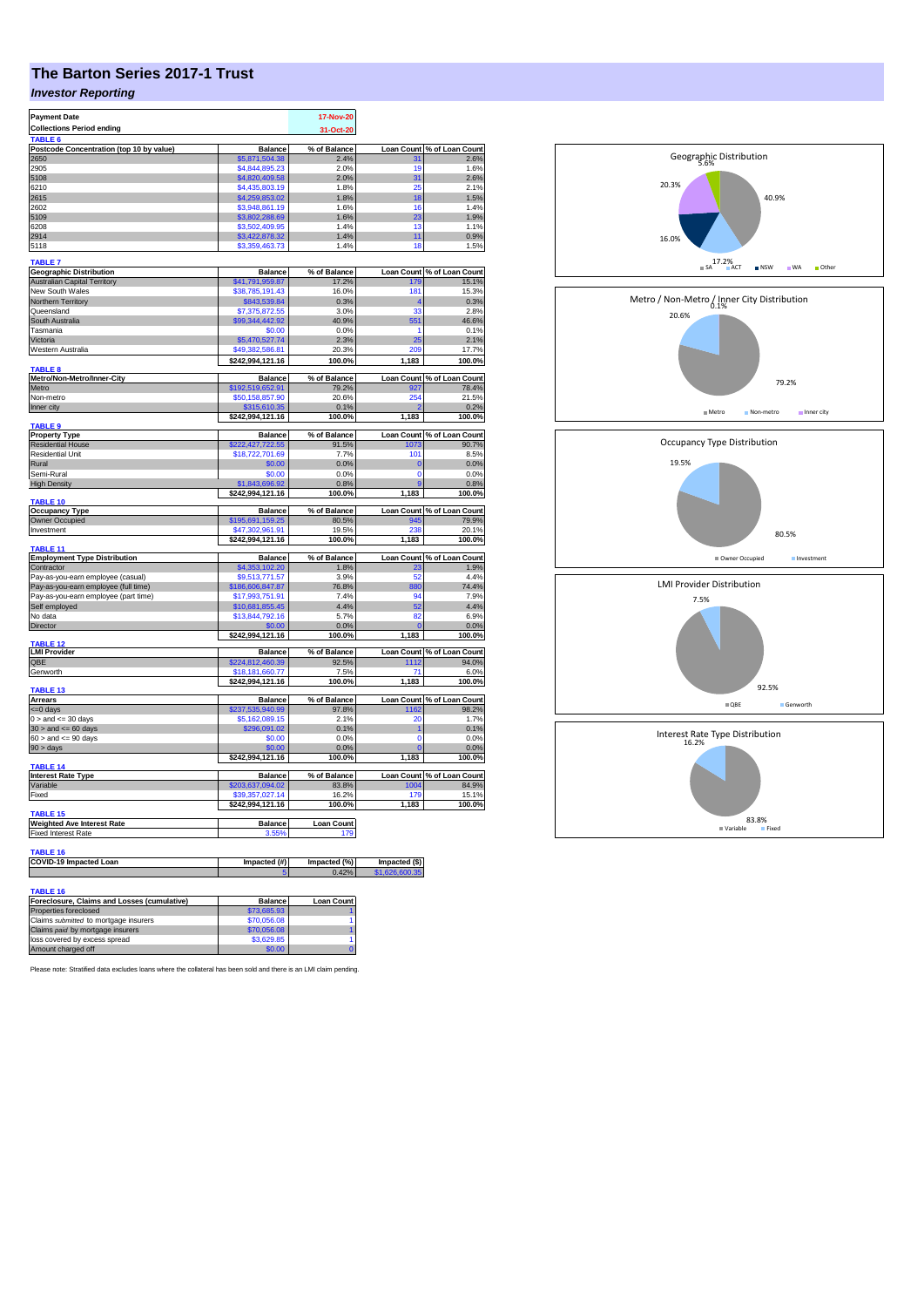# **The Barton Series 2017-1 Trust**

### *Investor Reporting*

| <b>Payment Date</b>                                                  |                                     | 17-Nov-20                |                           |                                     |
|----------------------------------------------------------------------|-------------------------------------|--------------------------|---------------------------|-------------------------------------|
| <b>Collections Period ending</b>                                     |                                     | 31-Oct-20                |                           |                                     |
| TABLE <sub>6</sub><br>Postcode Concentration (top 10 by value)       | <b>Balance</b>                      | % of Balance             | <b>Loan Count</b>         | % of Loan Count                     |
| 2650                                                                 | \$5,871,504.38                      | 2.4%                     | 31                        | 2.6%                                |
| 2905                                                                 | \$4,844,895.23                      | 2.0%                     | 19                        | 1.6%                                |
| 5108                                                                 | \$4,820,409.58                      | 2.0%                     | 31                        | 2.6%                                |
| 6210<br>2615                                                         | \$4,435,803.19                      | 1.8%<br>1.8%             | 25<br>18                  | 2.1%<br>1.5%                        |
| 2602                                                                 | \$4,259,853.02<br>\$3,948,861.19    | 1.6%                     | 16                        | 1.4%                                |
| 5109                                                                 | \$3,802,288.69                      | 1.6%                     | 23                        | 1.9%                                |
| 6208                                                                 | \$3,502,409.95                      | 1.4%                     | 13                        | 1.1%                                |
| 2914<br>5118                                                         | \$3,422,878.32<br>\$3,359,463.73    | 1.4%<br>1.4%             | 11<br>18                  | 0.9%<br>1.5%                        |
| <b>TABLE 7</b>                                                       |                                     |                          |                           |                                     |
| <b>Geographic Distribution</b>                                       | <b>Balance</b>                      | % of Balance             | <b>Loan Count</b>         | % of Loan Count                     |
| <b>Australian Capital Territory</b>                                  | \$41,791,959.87                     | 17.2%                    | 179                       | 15.1%                               |
| New South Wales                                                      | \$38,785,191.43                     | 16.0%                    | 181                       | 15.3%                               |
| Northern Territory<br>Queensland                                     | \$843,539.84<br>\$7,375,872.55      | 0.3%<br>3.0%             | 4<br>33                   | 0.3%<br>2.8%                        |
| South Australia                                                      | \$99,344,442.92                     | 40.9%                    | 551                       | 46.6%                               |
| Tasmania                                                             | \$0.00                              | 0.0%                     | 1                         | 0.1%                                |
| Victoria                                                             | \$5,470,527.74                      | 2.3%                     | 25                        | 2.1%                                |
| Western Australia                                                    | \$49,382,586.81                     | 20.3%                    | 209                       | 17.7%                               |
| <b>TABLE 8</b>                                                       | \$242,994,121.16                    | 100.0%                   | 1,183                     | 100.0%                              |
| Metro/Non-Metro/Inner-City                                           | <b>Balance</b>                      | % of Balance             |                           | Loan Count % of Loan Count          |
| Metro                                                                | \$192,519,652.91                    | 79.2%                    |                           | 78.4%                               |
| Non-metro<br>Inner city                                              | \$50,158,857.90                     | 20.6%                    | 254                       | 21.5%<br>0.2%                       |
|                                                                      | \$315,610.35<br>\$242,994,121.16    | 0.1%<br>100.0%           | 1,183                     | 100.0%                              |
| <b>TABLE 9</b>                                                       | <b>Balance</b>                      | % of Balance             |                           |                                     |
| <b>Property Type</b><br><b>Residential House</b>                     | \$222,427,722.55                    | 91.5%                    | <b>Loan Count</b><br>1073 | % of Loan Count<br>90.7%            |
| Residential Unit                                                     | \$18,722,701.69                     | 7.7%                     | 101                       | 8.5%                                |
| Rural                                                                | \$0.00                              | 0.0%                     | $\bf{0}$                  | 0.0%                                |
| Semi-Rural                                                           | \$0.00                              | 0.0%                     | 0                         | 0.0%                                |
| <b>High Density</b>                                                  | \$1,843,696.92<br>\$242,994,121.16  | 0.8%<br>100.0%           | 9<br>1,183                | 0.8%<br>100.0%                      |
| <b>TABLE 10</b>                                                      |                                     |                          |                           |                                     |
| <b>Occupancy Type</b>                                                | <b>Balance</b>                      | % of Balance             |                           | Loan Count % of Loan Count          |
| Owner Occupied                                                       | \$195,691,159.25                    | 80.5%                    | 945<br>238                | 79.9%                               |
| Investment                                                           | \$47,302,961.91<br>\$242,994,121.16 | 19.5%<br>100.0%          | 1,183                     | 20.1%<br>100.0%                     |
| <b>TABLE 11</b>                                                      |                                     |                          |                           |                                     |
| <b>Employment Type Distribution</b>                                  | <b>Balance</b>                      | % of Balance             |                           | Loan Count % of Loan Count          |
| Contractor<br>Pay-as-you-earn employee (casual)                      | \$4,353,102.20<br>\$9,513,771.57    | 1.8%<br>3.9%             | 23<br>52                  | 1.9%<br>4.4%                        |
| Pay-as-you-earn employee (full time)                                 | \$186,606,847.87                    | 76.8%                    | 880                       | 74.4%                               |
| Pay-as-you-earn employee (part time)                                 | \$17,993,751.91                     | 7.4%                     | 94                        | 7.9%                                |
| Self employed                                                        | \$10,681,855.45                     | 4.4%                     | 52                        | 4.4%                                |
| No data                                                              | \$13,844,792.16                     | 5.7%                     | 82                        | 6.9%                                |
| Director                                                             | \$0.00<br>\$242,994,121.16          | 0.0%<br>100.0%           | O<br>1,183                | 0.0%<br>100.0%                      |
| <b>TABLE 12</b>                                                      |                                     |                          |                           |                                     |
| <b>LMI Provider</b><br>QBE                                           | <b>Balance</b><br>\$224,812,460.39  | % of Balance<br>92.5%    | 1112                      | Loan Count % of Loan Count<br>94.0% |
| Genworth                                                             | \$18,181,660.77                     | 7.5%                     | 71                        | 6.0%                                |
|                                                                      | \$242,994,121.16                    | 100.0%                   | 1,183                     | 100.0%                              |
| TABLE <sub>13</sub>                                                  |                                     |                          |                           |                                     |
| Arrears<br><= 0 days                                                 | <b>Balance</b>                      | % of Balance<br>97.8%    | <b>Loan Count</b><br>1162 | % of Loan Count<br>98.2%            |
| $0 >$ and $\leq$ 30 days                                             | \$237,535,940.99<br>\$5,162,089.15  | 2.1%                     | 20                        | 1.7%                                |
| $30 >$ and $\leq 60$ days                                            | \$296,091.02                        | 0.1%                     | 1                         | 0.1%                                |
| $60 >$ and $\lt = 90$ days                                           | \$0.00                              | 0.0%                     | $\Omega$                  | 0.0%                                |
| $90 > \text{days}$                                                   | \$0.00<br>\$242,994,121.16          | 0.0%                     | O                         | 0.0%                                |
| TABLE <sub>14</sub>                                                  |                                     | 100.0%                   | 1,183                     | 100.0%                              |
| <b>Interest Rate Type</b>                                            | <b>Balance</b>                      | % of Balance             | <b>Loan Count</b>         | % of Loan Count                     |
| Variable                                                             | \$203,637,094.02                    | 83.8%                    | 1004                      | 84.9%                               |
| Fixed                                                                | \$39,357,027.14<br>\$242,994,121.16 | 16.2%<br>100.0%          | 179<br>1,183              | 15.1%<br>100.0%                     |
| TABLE 15                                                             |                                     |                          |                           |                                     |
| <b>Weighted Ave Interest Rate</b><br><b>Fixed Interest Rate</b>      | <b>Balance</b><br>3.55%             | <b>Loan Count</b><br>179 |                           |                                     |
|                                                                      |                                     |                          |                           |                                     |
| TABLE 16                                                             |                                     |                          |                           |                                     |
| COVID-19 Impacted Loan                                               | Impacted (#)                        | Impacted (%)<br>0.42     | Impacted (\$)             |                                     |
|                                                                      |                                     |                          |                           |                                     |
| TABLE 16                                                             |                                     |                          |                           |                                     |
| Foreclosure, Claims and Losses (cumulative)<br>Properties foreclosed | <b>Balance</b><br>\$73,685.93       | <b>Loan Count</b>        |                           |                                     |
| Claims submitted to mortgage insurers                                | \$70,056.08                         | 1                        |                           |                                     |
| Claims paid by mortgage insurers                                     | \$70,056.08                         |                          |                           |                                     |
| loss covered by excess spread                                        | \$3,629.85                          | 1                        |                           |                                     |
| Amount charged off                                                   | \$0.00                              |                          |                           |                                     |



40.9%

20.3%

5.6% Geographic Distribution

Please note: Stratified data excludes loans where the collateral has been sold and there is an LMI claim pending.